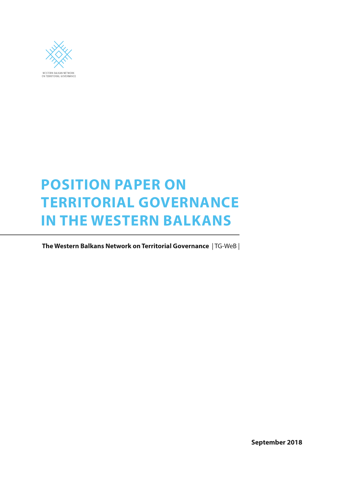

# **POSITION PAPER ON TERRITORIAL GOVERNANCE IN THE WESTERN BALKANS**

 **The Western Balkans Network on Territorial Governance** | TG-WeB |

**September 2018**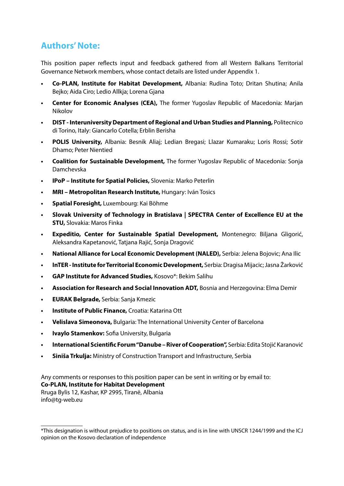# **Authors' Note:**

This position paper reflects input and feedback gathered from all Western Balkans Territorial Governance Network members, whose contact details are listed under Appendix 1.

- **• Co-PLAN, Institute for Habitat Development,** Albania: Rudina Toto; Dritan Shutina; Anila Bejko; Aida Ciro; Ledio Allkja; Lorena Gjana
- **• Center for Economic Analyses (CEA),** The former Yugoslav Republic of Macedonia: Marjan Nikolov
- **• DIST Interuniversity Department of Regional and Urban Studies and Planning,** Politecnico di Torino, Italy: Giancarlo Cotella; Erblin Berisha
- **• POLIS University,** Albania: Besnik Aliaj; Ledian Bregasi; Llazar Kumaraku; Loris Rossi; Sotir Dhamo; Peter Nientied
- **• Coalition for Sustainable Development,** The former Yugoslav Republic of Macedonia: Sonja Damchevska
- **• IPoP Institute for Spatial Policies,** Slovenia: Marko Peterlin
- **• MRI Metropolitan Research Institute,** Hungary: Iván Tosics
- **• Spatial Foresight,** Luxembourg: Kai Böhme
- **• Slovak University of Technology in Bratislava | SPECTRA Center of Excellence EU at the STU,** Slovakia: Maros Finka
- **• Expeditio, Center for Sustainable Spatial Development,** Montenegro: Biljana Gligorić, Aleksandra Kapetanović, Tatjana Rajić, Sonja Dragović
- **• National Alliance for Local Economic Development (NALED),** Serbia: Jelena Bojovic; Ana Ilic
- **• InTER Institute for Territorial Economic Development,** Serbia: Dragisa Mijacic; Jasna Žarković
- **• GAP Institute for Advanced Studies,** Kosovo\*: Bekim Salihu
- **• Association for Research and Social Innovation ADT,** Bosnia and Herzegovina: Elma Demir
- **• EURAK Belgrade,** Serbia: Sanja Kmezic
- **• Institute of Public Finance,** Croatia: Katarina Ott
- **• Velislava Simeonova,** Bulgaria: The International University Center of Barcelona
- **• Ivaylo Stamenkov:** Sofia University, Bulgaria
- **• International Scientific Forum "Danube River of Cooperation",** Serbia: Edita Stojić Karanović
- **• Siniša Trkulja:** Ministry of Construction Transport and Infrastructure, Serbia

Any comments or responses to this position paper can be sent in writing or by email to: **Co-PLAN, Institute for Habitat Development** Rruga Bylis 12, Kashar, KP 2995, Tiranë, Albania info@tg-web.eu

<sup>\*</sup>This designation is without prejudice to positions on status, and is in line with UNSCR 1244/1999 and the ICJ opinion on the Kosovo declaration of independence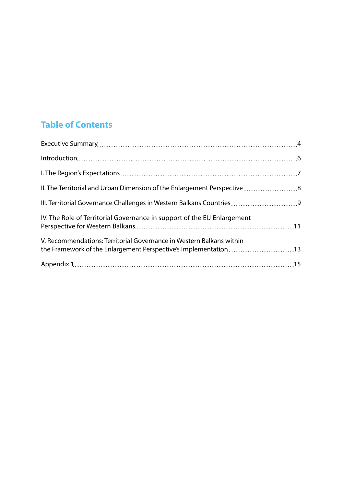# **Table of Contents**

| IV. The Role of Territorial Governance in support of the EU Enlargement |  |
|-------------------------------------------------------------------------|--|
| V. Recommendations: Territorial Governance in Western Balkans within    |  |
|                                                                         |  |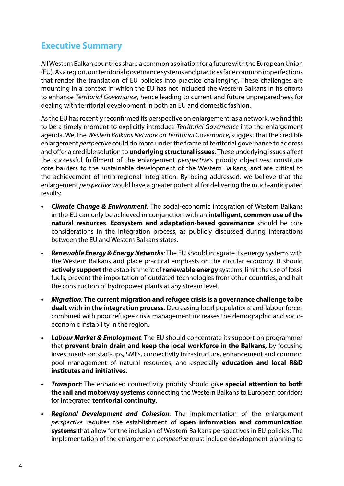# <span id="page-3-0"></span>**Executive Summary**

All Western Balkan countries share a common aspiration for a future with the European Union (EU). As a region, our territorial governance systems and practices face common imperfections that render the translation of EU policies into practice challenging. These challenges are mounting in a context in which the EU has not included the Western Balkans in its efforts to enhance *Territorial Governance*, hence leading to current and future unpreparedness for dealing with territorial development in both an EU and domestic fashion.

As the EU has recently reconfirmed its perspective on enlargement, as a network, we find this to be a timely moment to explicitly introduce *Territorial Governance* into the enlargement agenda. We, the *Western Balkans Network on Territorial Governance*, suggest that the credible enlargement *perspective* could do more under the frame of territorial governance to address and offer a credible solution to **underlying structural issues.** These underlying issues affect the successful fulfilment of the enlargement *perspective*'s priority objectives; constitute core barriers to the sustainable development of the Western Balkans; and are critical to the achievement of intra-regional integration. By being addressed, we believe that the enlargement *perspective* would have a greater potential for delivering the much-anticipated results:

- *• Climate Change & Environment:* The social-economic integration of Western Balkans in the EU can only be achieved in conjunction with an **intelligent, common use of the natural resources**. **Ecosystem and adaptation-based governance** should be core considerations in the integration process, as publicly discussed during interactions between the EU and Western Balkans states.
- *• Renewable Energy & Energy Networks*: The EU should integrate its energy systems with the Western Balkans and place practical emphasis on the circular economy. It should **actively support** the establishment of **renewable energy** systems, limit the use of fossil fuels, prevent the importation of outdated technologies from other countries, and halt the construction of hydropower plants at any stream level.
- *• Migration:* **The current migration and refugee crisis is a governance challenge to be dealt with in the integration process.** Decreasing local populations and labour forces combined with poor refugee crisis management increases the demographic and socioeconomic instability in the region.
- *• Labour Market & Employment*: The EU should concentrate its support on programmes that **prevent brain drain and keep the local workforce in the Balkans,** by focusing investments on start-ups, SMEs, connectivity infrastructure, enhancement and common pool management of natural resources, and especially **education and local R&D institutes and initiatives**.
- *• Transport:* The enhanced connectivity priority should give **special attention to both the rail and motorway systems** connecting the Western Balkans to European corridors for integrated **territorial continuity**.
- *• Regional Development and Cohesion*: The implementation of the enlargement *perspective* requires the establishment of **open information and communication systems** that allow for the inclusion of Western Balkans perspectives in EU policies. The implementation of the enlargement *perspective* must include development planning to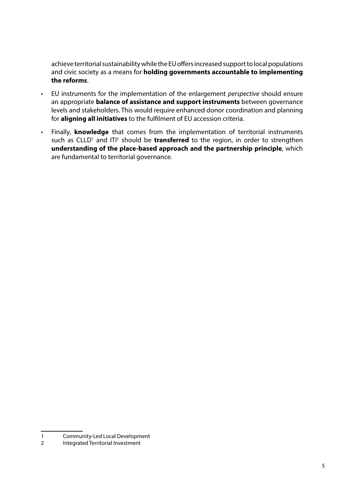achieve territorial sustainability while the EU offers increased support to local populations and civic society as a means for **holding governments accountable to implementing the reforms**.

- EU instruments for the implementation of the enlargement *perspective* should ensure an appropriate **balance of assistance and support instruments** between governance levels and stakeholders. This would require enhanced donor coordination and planning for **aligning all initiatives** to the fulfilment of EU accession criteria.
- Finally, **knowledge** that comes from the implementation of territorial instruments such as CLLD<sup>1</sup> and ITI<sup>2</sup> should be **transferred** to the region, in order to strengthen **understanding of the place-based approach and the partnership principle**, which are fundamental to territorial governance.

<sup>1</sup> Community-Led Local Development

<sup>2</sup> Integrated Territorial Investment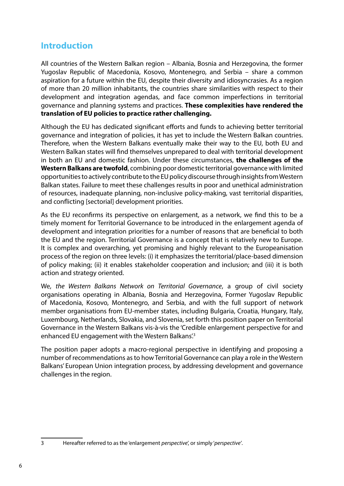# **Introduction**

All countries of the Western Balkan region – Albania, Bosnia and Herzegovina, the former Yugoslav Republic of Macedonia, Kosovo, Montenegro, and Serbia – share a common aspiration for a future within the EU, despite their diversity and idiosyncrasies. As a region of more than 20 million inhabitants, the countries share similarities with respect to their development and integration agendas, and face common imperfections in territorial governance and planning systems and practices. **These complexities have rendered the translation of EU policies to practice rather challenging.** 

Although the EU has dedicated significant efforts and funds to achieving better territorial governance and integration of policies, it has yet to include the Western Balkan countries. Therefore, when the Western Balkans eventually make their way to the EU, both EU and Western Balkan states will find themselves unprepared to deal with territorial development in both an EU and domestic fashion. Under these circumstances, **the challenges of the Western Balkans are twofold**, combining poor domestic territorial governance with limited opportunities to actively contribute to the EU policy discourse through insights from Western Balkan states. Failure to meet these challenges results in poor and unethical administration of resources, inadequate planning, non-inclusive policy-making, vast territorial disparities, and conflicting [sectorial] development priorities.

As the EU reconfirms its perspective on enlargement, as a network, we find this to be a timely moment for Territorial Governance to be introduced in the enlargement agenda of development and integration priorities for a number of reasons that are beneficial to both the EU and the region. Territorial Governance is a concept that is relatively new to Europe. It is complex and overarching, yet promising and highly relevant to the Europeanisation process of the region on three levels: (i) it emphasizes the territorial/place-based dimension of policy making; (ii) it enables stakeholder cooperation and inclusion; and (iii) it is both action and strategy oriented.

We, *the Western Balkans Network on Territorial Governance*, a group of civil society organisations operating in Albania, Bosnia and Herzegovina, Former Yugoslav Republic of Macedonia, Kosovo, Montenegro, and Serbia, and with the full support of network member organisations from EU-member states, including Bulgaria, Croatia, Hungary, Italy, Luxembourg, Netherlands, Slovakia, and Slovenia, set forth this position paper on Territorial Governance in the Western Balkans vis-à-vis the 'Credible enlargement perspective for and enhanced EU engagement with the Western Balkans'<sup>3</sup>

The position paper adopts a macro-regional perspective in identifying and proposing a number of recommendations as to how Territorial Governance can play a role in the Western Balkans' European Union integration process, by addressing development and governance challenges in the region.

<sup>3</sup> Hereafter referred to as the 'enlargement *perspective*', or simply '*perspective'*.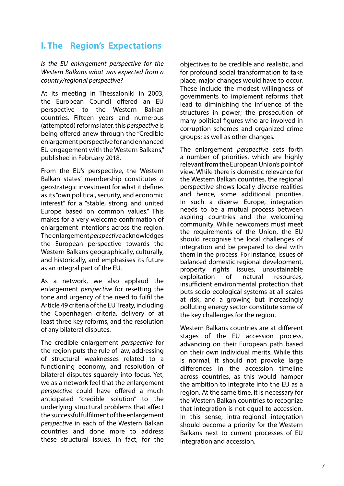# **I. The Region's Expectations**

*Is the EU enlargement perspective for the Western Balkans what was expected from a country/regional perspective?* 

At its meeting in Thessaloniki in 2003, the European Council offered an EU perspective to the Western Balkan countries. Fifteen years and numerous (attempted) reforms later, this *perspective* is being offered anew through the "Credible enlargement perspective for and enhanced EU engagement with the Western Balkans," published in February 2018.

From the EU's perspective, the Western Balkan states' membership constitutes *a*  geostrategic investment for what it defines as its "own political, security, and economic interest" for a "stable, strong and united Europe based on common values." This makes for a very welcome confirmation of enlargement intentions across the region. The enlargement *perspective* acknowledges the European perspective towards the Western Balkans geographically, culturally, and historically, and emphasises its future as an integral part of the EU.

As a network, we also applaud the enlargement *perspective* for resetting the tone and urgency of the need to fulfil the Article 49 criteria of the EU Treaty, including the Copenhagen criteria, delivery of at least three key reforms, and the resolution of any bilateral disputes.

The credible enlargement *perspective* for the region puts the rule of law, addressing of structural weaknesses related to a functioning economy, and resolution of bilateral disputes squarely into focus. Yet, we as a network feel that the enlargement *perspective* could have offered a much anticipated "credible solution" to the underlying structural problems that affect the successful fulfilment of the enlargement *perspective* in each of the Western Balkan countries and done more to address these structural issues. In fact, for the objectives to be credible and realistic, and for profound social transformation to take place, major changes would have to occur. These include the modest willingness of governments to implement reforms that lead to diminishing the influence of the structures in power; the prosecution of many political figures who are involved in corruption schemes and organized crime groups; as well as other changes.

The enlargement *perspective* sets forth a number of priorities, which are highly relevant from the European Union's point of view. While there is domestic relevance for the Western Balkan countries, the regional perspective shows locally diverse realities and hence, some additional priorities. In such a diverse Europe, integration needs to be a mutual process between aspiring countries and the welcoming community. While newcomers must meet the requirements of the Union, the EU should recognise the local challenges of integration and be prepared to deal with them in the process. For instance, issues of balanced domestic regional development, property rights issues, unsustainable exploitation of natural resources, insufficient environmental protection that puts socio-ecological systems at all scales at risk, and a growing but increasingly polluting energy sector constitute some of the key challenges for the region.

Western Balkans countries are at different stages of the EU accession process, advancing on their European path based on their own individual merits. While this is normal, it should not provoke large differences in the accession timeline across countries, as this would hamper the ambition to integrate into the EU as a region. At the same time, it is necessary for the Western Balkan countries to recognize that integration is not equal to accession. In this sense, intra-regional integration should become a priority for the Western Balkans next to current processes of EU integration and accession.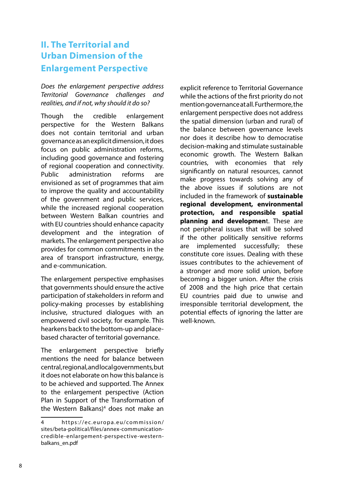# **II. The Territorial and Urban Dimension of the Enlargement Perspective**

*Does the enlargement perspective address Territorial Governance challenges and realities, and if not, why should it do so?*

Though the credible enlargement perspective for the Western Balkans does not contain territorial and urban governance as an explicit dimension, it does focus on public administration reforms, including good governance and fostering of regional cooperation and connectivity. Public administration reforms are envisioned as set of programmes that aim to improve the quality and accountability of the government and public services, while the increased regional cooperation between Western Balkan countries and with EU countries should enhance capacity development and the integration of markets. The enlargement perspective also provides for common commitments in the area of transport infrastructure, energy, and e-communication.

The enlargement perspective emphasises that governments should ensure the active participation of stakeholders in reform and policy-making processes by establishing inclusive, structured dialogues with an empowered civil society, for example. This hearkens back to the bottom-up and placebased character of territorial governance.

The enlargement perspective briefly mentions the need for balance between central, regional, and local governments, but it does not elaborate on how this balance is to be achieved and supported. The Annex to the enlargement perspective (Action Plan in Support of the Transformation of the Western Balkans)<sup>4</sup> does not make an explicit reference to Territorial Governance while the actions of the first priority do not mention governance at all. Furthermore, the enlargement perspective does not address the spatial dimension (urban and rural) of the balance between governance levels nor does it describe how to democratise decision-making and stimulate sustainable economic growth. The Western Balkan countries, with economies that rely significantly on natural resources, cannot make progress towards solving any of the above issues if solutions are not included in the framework of **sustainable regional development, environmental protection, and responsible spatial planning and developmen**t. These are not peripheral issues that will be solved if the other politically sensitive reforms are implemented successfully; these constitute core issues. Dealing with these issues contributes to the achievement of a stronger and more solid union, before becoming a bigger union. After the crisis of 2008 and the high price that certain EU countries paid due to unwise and irresponsible territorial development, the potential effects of ignoring the latter are well-known.

<sup>4</sup> https://ec.europa.eu/commission/ sites/beta-political/files/annex-communicationcredible-enlargement-perspective-westernbalkans\_en.pdf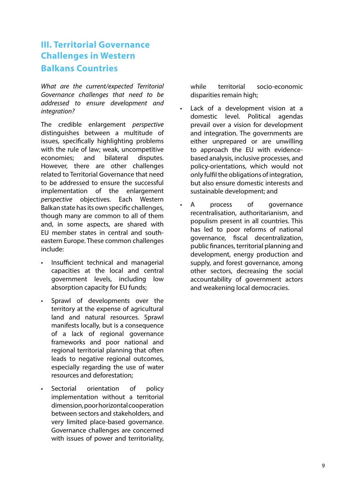# <span id="page-8-0"></span>**III. Territorial Governance Challenges in Western Balkans Countries**

*What are the current/expected Territorial Governance challenges that need to be addressed to ensure development and integration?*

The credible enlargement *perspective*  distinguishes between a multitude of issues, specifically highlighting problems with the rule of law; weak, uncompetitive economies; and bilateral disputes. However, there are other challenges related to Territorial Governance that need to be addressed to ensure the successful implementation of the enlargement *perspective* objectives. Each Western Balkan state has its own specific challenges, though many are common to all of them and, in some aspects, are shared with EU member states in central and southeastern Europe. These common challenges include:

- Insufficient technical and managerial capacities at the local and central government levels, including low absorption capacity for EU funds;
- Sprawl of developments over the territory at the expense of agricultural land and natural resources. Sprawl manifests locally, but is a consequence of a lack of regional governance frameworks and poor national and regional territorial planning that often leads to negative regional outcomes, especially regarding the use of water resources and deforestation;
- Sectorial orientation of policy implementation without a territorial dimension, poor horizontal cooperation between sectors and stakeholders, and very limited place-based governance. Governance challenges are concerned with issues of power and territoriality,

while territorial socio-economic disparities remain high;

- Lack of a development vision at a domestic level. Political agendas prevail over a vision for development and integration. The governments are either unprepared or are unwilling to approach the EU with evidencebased analysis, inclusive processes, and policy-orientations, which would not only fulfil the obligations of integration, but also ensure domestic interests and sustainable development; and
- A process of governance recentralisation, authoritarianism, and populism present in all countries. This has led to poor reforms of national governance, fiscal decentralization, public finances, territorial planning and development, energy production and supply, and forest governance, among other sectors, decreasing the social accountability of government actors and weakening local democracies.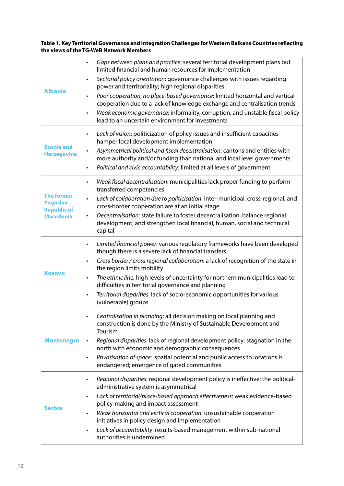<span id="page-9-0"></span>**Table 1. Key Territorial Governance and Integration Challenges for Western Balkans Countries reflecting the views of the TG-WeB Network Members**

| <b>Albania</b>                                                                 | Gaps between plans and practice: several territorial development plans but<br>$\bullet$<br>limited financial and human resources for implementation<br>Sectorial policy orientation: governance challenges with issues regarding<br>$\bullet$<br>power and territoriality; high regional disparities<br>Poor cooperation, no place-based governance: limited horizontal and vertical<br>$\bullet$<br>cooperation due to a lack of knowledge exchange and centralisation trends<br>Weak economic governance: informality, corruption, and unstable fiscal policy<br>$\bullet$<br>lead to an uncertain environment for investments |
|--------------------------------------------------------------------------------|----------------------------------------------------------------------------------------------------------------------------------------------------------------------------------------------------------------------------------------------------------------------------------------------------------------------------------------------------------------------------------------------------------------------------------------------------------------------------------------------------------------------------------------------------------------------------------------------------------------------------------|
| <b>Bosnia and</b><br><b>Herzegovina</b>                                        | Lack of vision: politicization of policy issues and insufficient capacities<br>$\bullet$<br>hamper local development implementation<br>Asymmetrical political and fiscal decentralisation: cantons and entities with<br>$\bullet$<br>more authority and/or funding than national and local level governments<br>Political and civic accountability: limited at all levels of government<br>$\bullet$                                                                                                                                                                                                                             |
| <b>The former</b><br><b>Yugoslav</b><br><b>Republic of</b><br><b>Macedonia</b> | Weak fiscal decentralisation: municipalities lack proper funding to perform<br>$\bullet$<br>transferred competencies<br>Lack of collaboration due to politicisation: inter-municipal, cross-regional, and<br>$\bullet$<br>cross-border cooperation are at an initial stage<br>Decentralisation: state failure to foster decentralisation, balance regional<br>development, and strengthen local financial, human, social and technical<br>capital                                                                                                                                                                                |
| <b>Kosovo</b>                                                                  | Limited financial power: various regulatory frameworks have been developed<br>$\bullet$<br>though there is a severe lack of financial transfers<br>Cross border / cross regional collaboration: a lack of recognition of the state in<br>$\bullet$<br>the region limits mobility<br>The ethnic line: high levels of uncertainty for northern municipalities lead to<br>$\bullet$<br>difficulties in territorial governance and planning<br>Territorial disparities: lack of socio-economic opportunities for various<br>$\bullet$<br>(vulnerable) groups                                                                         |
| <b>Montenegro</b>                                                              | Centralisation in planning: all decision making on local planning and<br>construction is done by the Ministry of Sustainable Development and<br>Tourism<br>Regional disparities: lack of regional development policy; stagnation in the<br>$\bullet$<br>north with economic and demographic consequences<br>Privatisation of space: spatial potential and public access to locations is<br>$\bullet$<br>endangered; emergence of gated communities                                                                                                                                                                               |
| <b>Serbia</b>                                                                  | Regional disparities: regional development policy is ineffective; the political-<br>$\bullet$<br>administrative system is asymmetrical<br>Lack of territorial/place-based approach effectiveness: weak evidence-based<br>$\bullet$<br>policy-making and impact assessment<br>Weak horizontal and vertical cooperation: unsustainable cooperation<br>٠<br>initiatives in policy design and implementation<br>Lack of accountability: results-based management within sub-national<br>$\bullet$<br>authorities is undermined                                                                                                       |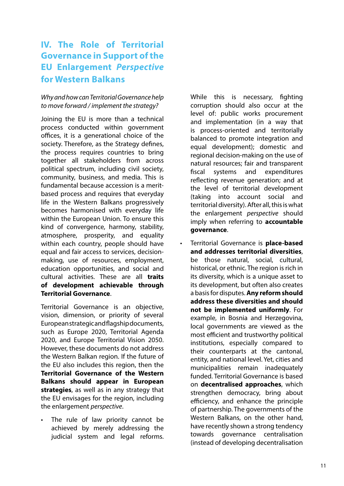# <span id="page-10-0"></span>**IV. The Role of Territorial Governance in Support of the EU Enlargement** *Perspective* **for Western Balkans**

# *Why and how can Territorial Governance help to move forward / implement the strategy?*

Joining the EU is more than a technical process conducted within government offices, it is a generational choice of the society. Therefore, as the Strategy defines, the process requires countries to bring together all stakeholders from across political spectrum, including civil society, community, business, and media. This is fundamental because accession is a meritbased process and requires that everyday life in the Western Balkans progressively becomes harmonised with everyday life within the European Union. To ensure this kind of convergence, harmony, stability, atmosphere, prosperity, and equality within each country, people should have equal and fair access to services, decisionmaking, use of resources, employment, education opportunities, and social and cultural activities. These are all **traits of development achievable through Territorial Governance**.

Territorial Governance is an objective, vision, dimension, or priority of several European strategic and flagship documents, such as Europe 2020, Territorial Agenda 2020, and Europe Territorial Vision 2050. However, these documents do not address the Western Balkan region. If the future of the EU also includes this region, then the **Territorial Governance of the Western Balkans should appear in European strategies**, as well as in any strategy that the EU envisages for the region, including the enlargement *perspective*.

The rule of law priority cannot be achieved by merely addressing the judicial system and legal reforms.

While this is necessary, fighting corruption should also occur at the level of: public works procurement and implementation (in a way that is process-oriented and territorially balanced to promote integration and equal development); domestic and regional decision-making on the use of natural resources; fair and transparent fiscal systems and expenditures reflecting revenue generation; and at the level of territorial development (taking into account social and territorial diversity). After all, this is what the enlargement *perspective* should imply when referring to **accountable governance**.

• Territorial Governance is **place-based and addresses territorial diversities**, be those natural, social, cultural, historical, or ethnic. The region is rich in its diversity, which is a unique asset to its development, but often also creates a basis for disputes. **Any reform should address these diversities and should not be implemented uniformly**. For example, in Bosnia and Herzegovina, local governments are viewed as the most efficient and trustworthy political institutions, especially compared to their counterparts at the cantonal, entity, and national level. Yet, cities and municipalities remain inadequately funded. Territorial Governance is based on **decentralised approaches**, which strengthen democracy, bring about efficiency, and enhance the principle of partnership. The governments of the Western Balkans, on the other hand, have recently shown a strong tendency towards governance centralisation (instead of developing decentralisation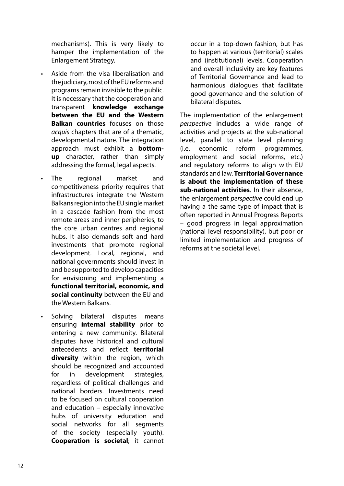<span id="page-11-0"></span>mechanisms). This is very likely to hamper the implementation of the Enlargement Strategy.

- Aside from the visa liberalisation and the judiciary, most of the EU reforms and programs remain invisible to the public. It is necessary that the cooperation and transparent **knowledge exchange between the EU and the Western Balkan countries** focuses on those *acquis* chapters that are of a thematic, developmental nature. The integration approach must exhibit a **bottomup** character, rather than simply addressing the formal, legal aspects.
- The regional market and competitiveness priority requires that infrastructures integrate the Western Balkans region into the EU single market in a cascade fashion from the most remote areas and inner peripheries, to the core urban centres and regional hubs. It also demands soft and hard investments that promote regional development. Local, regional, and national governments should invest in and be supported to develop capacities for envisioning and implementing a **functional territorial, economic, and social continuity** between the EU and the Western Balkans.
- Solving bilateral disputes means ensuring **internal stability** prior to entering a new community. Bilateral disputes have historical and cultural antecedents and reflect **territorial diversity** within the region, which should be recognized and accounted for in development strategies, regardless of political challenges and national borders. Investments need to be focused on cultural cooperation and education – especially innovative hubs of university education and social networks for all segments of the society (especially youth). **Cooperation is societal**; it cannot

occur in a top-down fashion, but has to happen at various (territorial) scales and (institutional) levels. Cooperation and overall inclusivity are key features of Territorial Governance and lead to harmonious dialogues that facilitate good governance and the solution of bilateral disputes.

The implementation of the enlargement *perspective* includes a wide range of activities and projects at the sub-national level, parallel to state level planning (i.e. economic reform programmes, employment and social reforms, etc.) and regulatory reforms to align with EU standards and law. **Territorial Governance is about the implementation of these sub-national activities**. In their absence, the enlargement *perspective* could end up having a the same type of impact that is often reported in Annual Progress Reports – good progress in legal approximation (national level responsibility), but poor or limited implementation and progress of reforms at the societal level.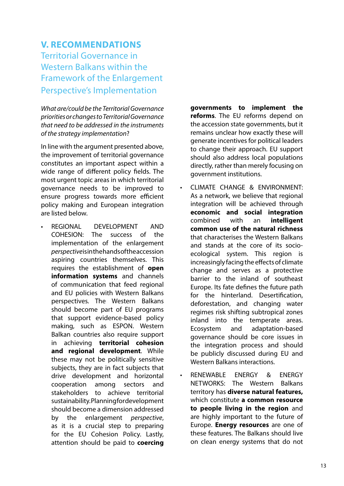# **V. RECOMMENDATIONS** Territorial Governance in Western Balkans within the Framework of the Enlargement Perspective's Implementation

*What are/could be the Territorial Governance priorities or changes to Territorial Governance that need to be addressed in the instruments of the strategy implementation*?

In line with the argument presented above, the improvement of territorial governance constitutes an important aspect within a wide range of different policy fields. The most urgent topic areas in which territorial governance needs to be improved to ensure progress towards more efficient policy making and European integration are listed below.

• REGIONAL DEVELOPMENT AND COHESION: The success of the implementation of the enlargement *perspective* is in the hands of the accession aspiring countries themselves. This requires the establishment of **open information systems** and channels of communication that feed regional and EU policies with Western Balkans perspectives. The Western Balkans should become part of EU programs that support evidence-based policy making, such as ESPON. Western Balkan countries also require support in achieving **territorial cohesion and regional development**. While these may not be politically sensitive subjects, they are in fact subjects that drive development and horizontal cooperation among sectors and stakeholders to achieve territorial sustainability. Planning for development should become a dimension addressed by the enlargement *perspective*, as it is a crucial step to preparing for the EU Cohesion Policy. Lastly, attention should be paid to **coercing** 

**governments to implement the reforms**. The EU reforms depend on the accession state governments, but it remains unclear how exactly these will generate incentives for political leaders to change their approach. EU support should also address local populations directly, rather than merely focusing on government institutions.

- CLIMATE CHANGE & ENVIRONMENT: As a network, we believe that regional integration will be achieved through **economic and social integration** combined with an **intelligent common use of the natural richness** that characterises the Western Balkans and stands at the core of its socioecological system. This region is increasingly facing the effects of climate change and serves as a protective barrier to the inland of southeast Europe. Its fate defines the future path for the hinterland. Desertification, deforestation, and changing water regimes risk shifting subtropical zones inland into the temperate areas. Ecosystem and adaptation-based governance should be core issues in the integration process and should be publicly discussed during EU and Western Balkans interactions.
- RENEWABLE ENERGY & ENERGY NETWORKS: The Western Balkans territory has **diverse natural features,**  which constitute **a common resource to people living in the region** and are highly important to the future of Europe. **Energy resources** are one of these features. The Balkans should live on clean energy systems that do not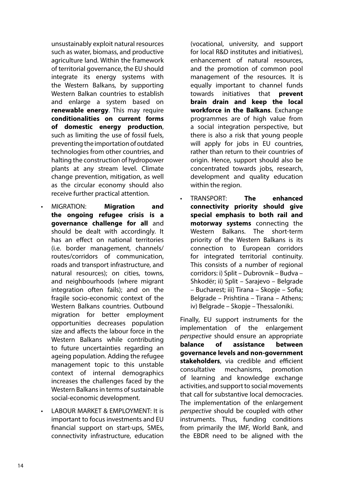<span id="page-13-0"></span>unsustainably exploit natural resources such as water, biomass, and productive agriculture land. Within the framework of territorial governance, the EU should integrate its energy systems with the Western Balkans, by supporting Western Balkan countries to establish and enlarge a system based on **renewable energy**. This may require **conditionalities on current forms of domestic energy production**, such as limiting the use of fossil fuels, preventing the importation of outdated technologies from other countries, and halting the construction of hydropower plants at any stream level. Climate change prevention, mitigation, as well as the circular economy should also receive further practical attention.

- MIGRATION: **Migration and the ongoing refugee crisis is a governance challenge for all** and should be dealt with accordingly. It has an effect on national territories (i.e. border management, channels/ routes/corridors of communication, roads and transport infrastructure, and natural resources); on cities, towns, and neighbourhoods (where migrant integration often fails); and on the fragile socio-economic context of the Western Balkans countries. Outbound migration for better employment opportunities decreases population size and affects the labour force in the Western Balkans while contributing to future uncertainties regarding an ageing population. Adding the refugee management topic to this unstable context of internal demographics increases the challenges faced by the Western Balkans in terms of sustainable social-economic development.
- LABOUR MARKET & EMPLOYMENT: It is important to focus investments and EU financial support on start-ups, SMEs, connectivity infrastructure, education

(vocational, university, and support for local R&D institutes and initiatives), enhancement of natural resources, and the promotion of common pool management of the resources. It is equally important to channel funds towards initiatives that **prevent brain drain and keep the local workforce in the Balkans**. Exchange programmes are of high value from a social integration perspective, but there is also a risk that young people will apply for jobs in EU countries, rather than return to their countries of origin. Hence, support should also be concentrated towards jobs, research, development and quality education within the region.

• TRANSPORT: **The enhanced connectivity priority should give special emphasis to both rail and motorway systems** connecting the Western Balkans. The short-term priority of the Western Balkans is its connection to European corridors for integrated territorial continuity. This consists of a number of regional corridors: i) Split – Dubrovnik – Budva – Shkodër; ii) Split – Sarajevo – Belgrade – Bucharest; iii) Tirana – Skopje – Sofia; Belgrade – Prishtina – Tirana – Athens; iv) Belgrade – Skopje – Thessaloniki.

Finally, EU support instruments for the implementation of the enlargement *perspective* should ensure an appropriate **balance of assistance between governance levels and non-government stakeholders**, via credible and efficient consultative mechanisms, promotion of learning and knowledge exchange activities, and support to social movements that call for substantive local democracies. The implementation of the enlargement *perspective* should be coupled with other instruments. Thus, funding conditions from primarily the IMF, World Bank, and the EBDR need to be aligned with the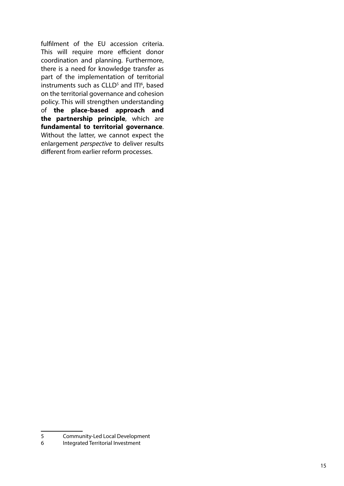fulfilment of the EU accession criteria. This will require more efficient donor coordination and planning. Furthermore, there is a need for knowledge transfer as part of the implementation of territorial instruments such as CLLD<sup>5</sup> and ITI<sup>6</sup>, based on the territorial governance and cohesion policy. This will strengthen understanding of **the place-based approach and the partnership principle**, which are **fundamental to territorial governance**. Without the latter, we cannot expect the enlargement *perspective* to deliver results different from earlier reform processes.

<sup>5</sup> Community-Led Local Development<br>6 Integrated Territorial Investment

Integrated Territorial Investment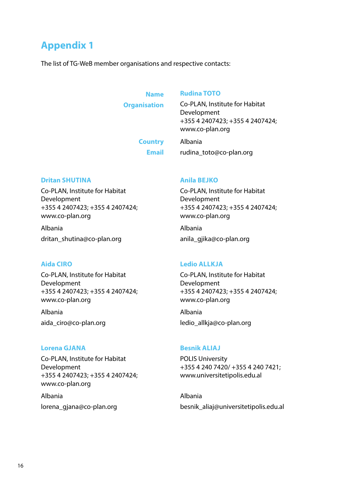# <span id="page-15-0"></span>**Appendix 1**

The list of TG-WeB member organisations and respective contacts:

#### **Name**

**Organisation**

#### **Rudina TOTO**

Co-PLAN, Institute for Habitat Development +355 4 2407423; +355 4 2407424; www.co-plan.org

**Country Email** Albania rudina\_toto@co-plan.org

#### **Dritan SHUTINA**

Co-PLAN, Institute for Habitat Development +355 4 2407423; +355 4 2407424; www.co-plan.org

Albania dritan\_shutina@co-plan.org

# **Aida CIRO**

Co-PLAN, Institute for Habitat Development +355 4 2407423; +355 4 2407424; www.co-plan.org

Albania aida\_ciro@co-plan.org

### **Lorena GJANA**

Co-PLAN, Institute for Habitat Development +355 4 2407423; +355 4 2407424; www.co-plan.org

Albania lorena\_gjana@co-plan.org

#### **Anila BEJKO**

Co-PLAN, Institute for Habitat Development +355 4 2407423; +355 4 2407424; www.co-plan.org

Albania anila\_gjika@co-plan.org

### **Ledio ALLKJA**

Co-PLAN, Institute for Habitat Development +355 4 2407423; +355 4 2407424; www.co-plan.org

Albania ledio\_allkja@co-plan.org

# **Besnik ALIAJ**

POLIS University +355 4 240 7420/ +355 4 240 7421; www.universitetipolis.edu.al

Albania besnik\_aliaj@universitetipolis.edu.al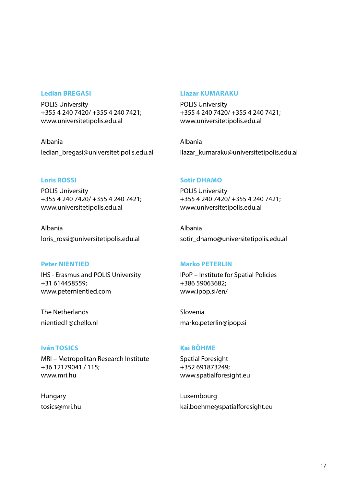#### **Ledian BREGASI**

POLIS University +355 4 240 7420/ +355 4 240 7421; www.universitetipolis.edu.al

Albania ledian\_bregasi@universitetipolis.edu.al

#### **Loris ROSSI**

POLIS University +355 4 240 7420/ +355 4 240 7421; www.universitetipolis.edu.al

Albania loris rossi@universitetipolis.edu.al

#### **Peter NIENTIED**

IHS - Erasmus and POLIS University +31 614458559; www.peternientied.com

The Netherlands nientied1@chello.nl

#### **Iván TOSICS**

MRI – Metropolitan Research Institute +36 12179041 / 115; www.mri.hu

Hungary tosics@mri.hu

#### **Llazar KUMARAKU**

POLIS University +355 4 240 7420/ +355 4 240 7421; www.universitetipolis.edu.al

Albania llazar\_kumaraku@universitetipolis.edu.al

#### **Sotir DHAMO**

POLIS University +355 4 240 7420/ +355 4 240 7421; www.universitetipolis.edu.al

Albania sotir\_dhamo@universitetipolis.edu.al

#### **Marko PETERLIN**

IPoP – Institute for Spatial Policies +386 59063682; www.ipop.si/en/

Slovenia marko.peterlin@ipop.si

### **Kai BÖHME**

Spatial Foresight +352 691873249; www.spatialforesight.eu

Luxembourg kai.boehme@spatialforesight.eu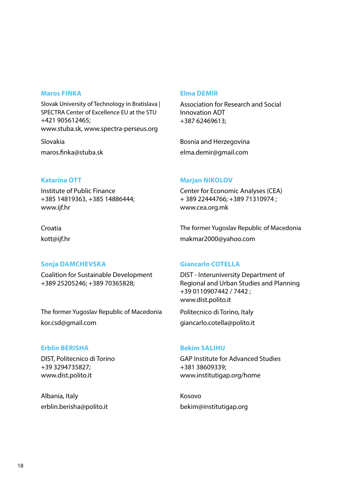#### **Maros FINKA**

Slovak University of Technology in Bratislava | SPECTRA Center of Excellence EU at the STU +421 905612465; www.stuba.sk, www.spectra-perseus.org

Slovakia maros.finka@stuba.sk

#### **Elma DEMIR**

Association for Research and Social Innovation ADT +387 62469613;

Bosnia and Herzegovina elma.demir@gmail.com

### **Katarina OTT**

Institute of Public Finance +385 14819363, +385 14886444; www.ijf.hr

# Croatia kott@ijf.hr

### **Sonja DAMCHEVSKA**

Coalition for Sustainable Development +389 25205246; +389 70365828;

The former Yugoslav Republic of Macedonia kor.csd@gmail.com

### **Erblin BERISHA**

DIST, Politecnico di Torino +39 3294735827; www.dist.polito.it

Albania, Italy erblin.berisha@polito.it

#### **Marjan NIKOLOV**

Center for Economic Analyses (CEA) + 389 22444766; +389 71310974 ; www.cea.org.mk

The former Yugoslav Republic of Macedonia makmar2000@yahoo.com

### **Giancarlo COTELLA**

DIST - Interuniversity Department of Regional and Urban Studies and Planning +39 0110907442 / 7442 ; www.dist.polito.it

Politecnico di Torino, Italy giancarlo.cotella@polito.it

### **Bekim SALIHU**

GAP Institute for Advanced Studies +381 38609339; www.institutigap.org/home

Kosovo bekim@institutigap.org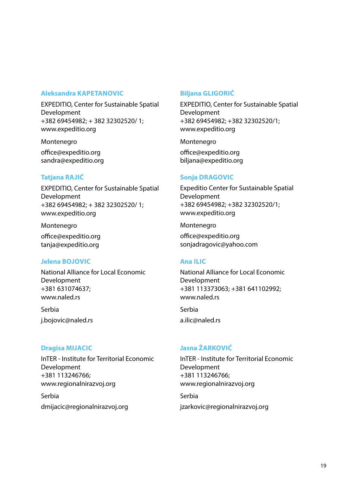### **Aleksandra KAPETANOVIC**

EXPEDITIO, Center for Sustainable Spatial Development +382 69454982; + 382 32302520/ 1; www.expeditio.org

Montenegro office@expeditio.org sandra@expeditio.org

### **Tatjana RAJIĆ**

EXPEDITIO, Center for Sustainable Spatial Development +382 69454982; + 382 32302520/ 1; www.expeditio.org

Montenegro office@expeditio.org tanja@expeditio.org

### **Jelena BOJOVIC**

National Alliance for Local Economic Development +381 631074637; www.naled.rs

Serbia j.bojovic@naled.rs

# **Dragisa MIJACIC**

InTER - Institute for Territorial Economic Development +381 113246766; www.regionalnirazvoj.org

Serbia dmijacic@regionalnirazvoj.org

# **Biljana GLIGORIĆ**

EXPEDITIO, Center for Sustainable Spatial Development +382 69454982; +382 32302520/1; www.expeditio.org

Montenegro office@expeditio.org biljana@expeditio.org

### **Sonja DRAGOVIC**

Expeditio Center for Sustainable Spatial Development +382 69454982; +382 32302520/1; www.expeditio.org

Montenegro

office@expeditio.org sonjadragovic@yahoo.com

# **Ana ILIC**

National Alliance for Local Economic Development +381 113373063; +381 641102992; www.naled.rs

Serbia a.ilic@naled.rs

# **Jasna ŽARKOVIĆ**

InTER - Institute for Territorial Economic Development +381 113246766; www.regionalnirazvoj.org

Serbia jzarkovic@regionalnirazvoj.org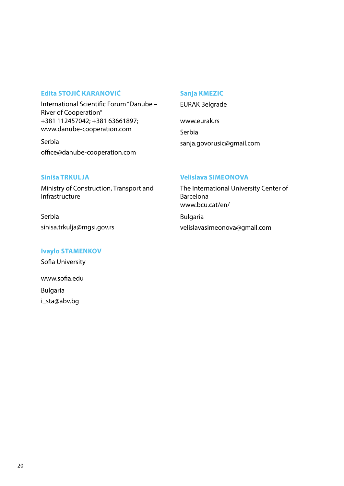### **Edita STOJIĆ KARANOVIĆ**

International Scientific Forum "Danube – River of Cooperation" +381 112457042; +381 63661897; www.danube-cooperation.com

Serbia office@danube-cooperation.com

#### **Sanja KMEZIC**

EURAK Belgrade

www.eurak.rs Serbia sanja.govorusic@gmail.com

### **Siniša TRKULJA**

Ministry of Construction, Transport and Infrastructure

Serbia sinisa.trkulja@mgsi.gov.rs

### **Ivaylo STAMENKOV**

Sofia University

www.sofia.edu Bulgaria i\_sta@abv.bg

### **Velislava SIMEONOVA**

The International University Center of Barcelona www.bcu.cat/en/ Bulgaria

velislavasimeonova@gmail.com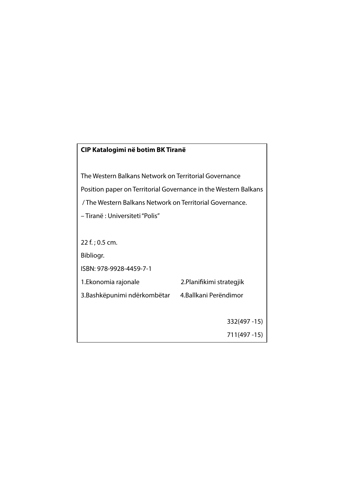# **CIP Katalogimi në botim BK Tiranë**

The Western Balkans Network on Territorial Governance Position paper on Territorial Governance in the Western Balkans / The Western Balkans Network on Territorial Governance. – Tiranë : Universiteti "Polis" 22 f. ; 0.5 cm. Bibliogr.

ISBN: 978-9928-4459-7-1

1.Ekonomia rajonale 2.Planifikimi strategjik

3.Bashkëpunimi ndërkombëtar 4.Ballkani Perëndimor

332(497 -15)

711(497 -15)